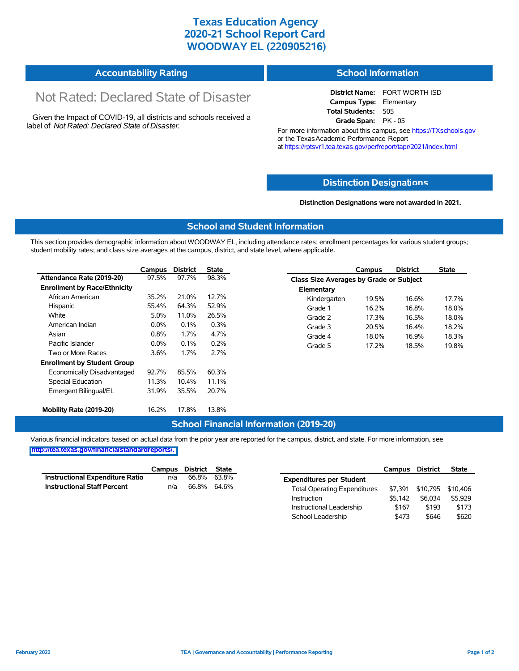## **Texas Education Agency 2020-21 School Report Card WOODWAY EL (220905216)**

## **Accountability Rating**

# Not Rated: Declared State of Disaster

Given the Impact of COVID-19, all districts and schools received a label of *Not Rated: Declared State of Disaster.*

#### **School Information**

**District Name:** FORT WORTH ISD **Campus Type:** Elementary **Total Students:** 505 **Grade Span:** PK - 05

For more information about this campus, see https://TXschools.gov or the Texas Academic Performance Report at https://rptsvr1.tea.texas.gov/perfreport/tapr/2021/index.html

#### **Distinction Designat[ions](https://TXschools.gov)**

**Distinction Designations were not awarded in 2021.**

School Leadership  $$473$  \$646 \$620

#### **School and Student Information**

This section provides demographic information about WOODWAY EL, including attendance rates; enrollment percentages for various student groups; student mobility rates; and class size averages at the campus, district, and state level, where applicable.

|                                     | Campus  | <b>District</b> | State |              | Campus                                  | <b>District</b> | <b>State</b> |  |  |
|-------------------------------------|---------|-----------------|-------|--------------|-----------------------------------------|-----------------|--------------|--|--|
| Attendance Rate (2019-20)           | 97.5%   | 97.7%           | 98.3% |              | Class Size Averages by Grade or Subject |                 |              |  |  |
| <b>Enrollment by Race/Ethnicity</b> |         |                 |       | Elementary   |                                         |                 |              |  |  |
| African American                    | 35.2%   | 21.0%           | 12.7% | Kindergarten | 19.5%                                   | 16.6%           | 17.7%        |  |  |
| Hispanic                            | 55.4%   | 64.3%           | 52.9% | Grade 1      | 16.2%                                   | 16.8%           | 18.0%        |  |  |
| White                               | 5.0%    | 11.0%           | 26.5% | Grade 2      | 17.3%                                   | 16.5%           | 18.0%        |  |  |
| American Indian                     | $0.0\%$ | 0.1%            | 0.3%  | Grade 3      | 20.5%                                   | 16.4%           | 18.2%        |  |  |
| Asian                               | 0.8%    | 1.7%            | 4.7%  | Grade 4      | 18.0%                                   | 16.9%           | 18.3%        |  |  |
| Pacific Islander                    | $0.0\%$ | 0.1%            | 0.2%  | Grade 5      | 17.2%                                   | 18.5%           | 19.8%        |  |  |
| Two or More Races                   | $3.6\%$ | 1.7%            | 2.7%  |              |                                         |                 |              |  |  |
| <b>Enrollment by Student Group</b>  |         |                 |       |              |                                         |                 |              |  |  |
| Economically Disadvantaged          | 92.7%   | 85.5%           | 60.3% |              |                                         |                 |              |  |  |
| Special Education                   | 11.3%   | 10.4%           | 11.1% |              |                                         |                 |              |  |  |
| Emergent Bilingual/EL               | 31.9%   | 35.5%           | 20.7% |              |                                         |                 |              |  |  |
|                                     |         |                 |       |              |                                         |                 |              |  |  |
| Mobility Rate (2019-20)             | 16.2%   | 17.8%           | 13.8% |              |                                         |                 |              |  |  |

#### **School Financial Information (2019-20)**

Various financial indicators based on actual data from the prior year are reported for the campus, district, and state. For more information, see

**[http://tea.texas.gov/financialstandardreports/.](http://tea.texas.gov/financialstandardreports/)**

|                                        | Campus | District | State |                                     | Campus  | <b>District</b>           | <b>State</b> |
|----------------------------------------|--------|----------|-------|-------------------------------------|---------|---------------------------|--------------|
| <b>Instructional Expenditure Ratio</b> | n/a    | 66.8%    | 63.8% | <b>Expenditures per Student</b>     |         |                           |              |
| <b>Instructional Staff Percent</b>     | n/a    | 66.8%    | 64.6% | <b>Total Operating Expenditures</b> |         | \$7,391 \$10,795 \$10,406 |              |
|                                        |        |          |       | Instruction                         | \$5.142 | \$6.034                   | \$5.929      |
|                                        |        |          |       | Instructional Leadership            | \$167   | \$193                     | \$173        |